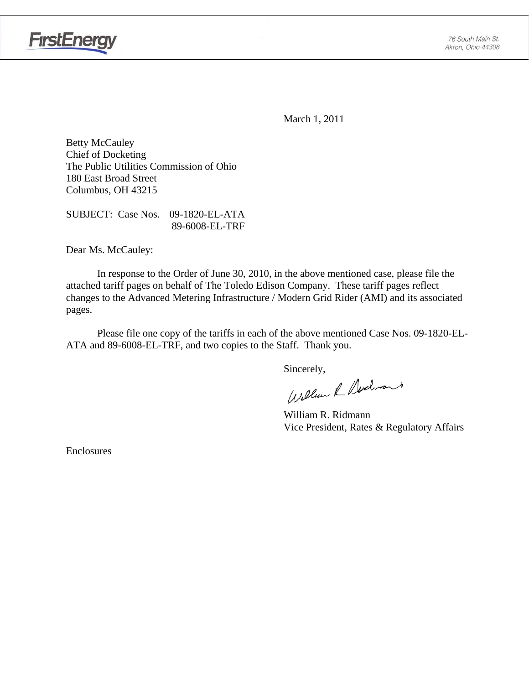



March 1, 2011

Betty McCauley Chief of Docketing The Public Utilities Commission of Ohio 180 East Broad Street Columbus, OH 43215

SUBJECT: Case Nos. 09-1820-EL-ATA 89-6008-EL-TRF

Dear Ms. McCauley:

 In response to the Order of June 30, 2010, in the above mentioned case, please file the attached tariff pages on behalf of The Toledo Edison Company. These tariff pages reflect changes to the Advanced Metering Infrastructure / Modern Grid Rider (AMI) and its associated pages.

Please file one copy of the tariffs in each of the above mentioned Case Nos. 09-1820-EL-ATA and 89-6008-EL-TRF, and two copies to the Staff. Thank you.

Sincerely,<br>William & Nechnant

 William R. Ridmann Vice President, Rates & Regulatory Affairs

Enclosures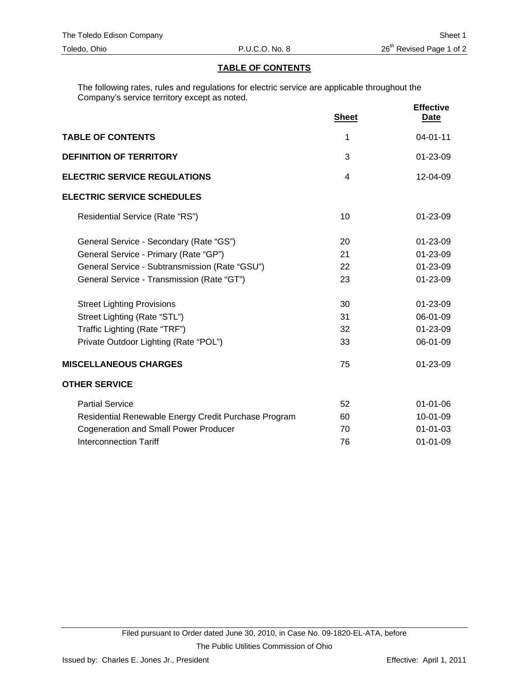#### **TABLE OF CONTENTS**

The following rates, rules and regulations for electric service are applicable throughout the Company's service territory except as noted.

|                                                      | <b>Sheet</b>   | <b>Effective</b><br><b>Date</b> |
|------------------------------------------------------|----------------|---------------------------------|
| <b>TABLE OF CONTENTS</b>                             | 1              | $04 - 01 - 11$                  |
| <b>DEFINITION OF TERRITORY</b>                       | 3              | 01-23-09                        |
| <b>ELECTRIC SERVICE REGULATIONS</b>                  | $\overline{4}$ | 12-04-09                        |
| <b>ELECTRIC SERVICE SCHEDULES</b>                    |                |                                 |
| Residential Service (Rate "RS")                      | 10             | 01-23-09                        |
| General Service - Secondary (Rate "GS")              | 20             | 01-23-09                        |
| General Service - Primary (Rate "GP")                | 21             | $01 - 23 - 09$                  |
| General Service - Subtransmission (Rate "GSU")       | 22             | 01-23-09                        |
| General Service - Transmission (Rate "GT")           | 23             | $01 - 23 - 09$                  |
| <b>Street Lighting Provisions</b>                    | 30             | $01 - 23 - 09$                  |
| Street Lighting (Rate "STL")                         | 31             | 06-01-09                        |
| Traffic Lighting (Rate "TRF")                        | 32             | 01-23-09                        |
| Private Outdoor Lighting (Rate "POL")                | 33             | 06-01-09                        |
| <b>MISCELLANEOUS CHARGES</b>                         | 75             | 01-23-09                        |
| <b>OTHER SERVICE</b>                                 |                |                                 |
| <b>Partial Service</b>                               | 52             | 01-01-06                        |
| Residential Renewable Energy Credit Purchase Program | 60             | 10-01-09                        |
| <b>Cogeneration and Small Power Producer</b>         | 70             | $01 - 01 - 03$                  |
| <b>Interconnection Tariff</b>                        | 76             | $01 - 01 - 09$                  |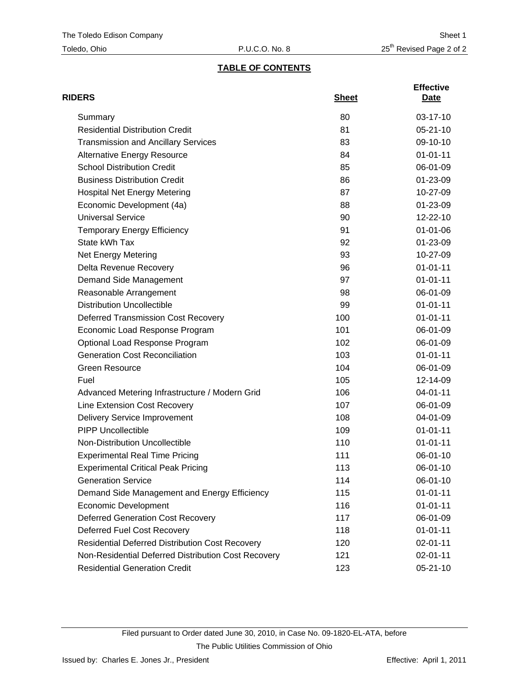# **TABLE OF CONTENTS**

| <b>RIDERS</b>                                       | <b>Sheet</b> | <b>Effective</b><br>Date |
|-----------------------------------------------------|--------------|--------------------------|
| Summary                                             | 80           | 03-17-10                 |
| <b>Residential Distribution Credit</b>              | 81           | $05 - 21 - 10$           |
| <b>Transmission and Ancillary Services</b>          | 83           | 09-10-10                 |
| <b>Alternative Energy Resource</b>                  | 84           | $01 - 01 - 11$           |
| <b>School Distribution Credit</b>                   | 85           | 06-01-09                 |
| <b>Business Distribution Credit</b>                 | 86           | 01-23-09                 |
| <b>Hospital Net Energy Metering</b>                 | 87           | 10-27-09                 |
| Economic Development (4a)                           | 88           | 01-23-09                 |
| <b>Universal Service</b>                            | 90           | 12-22-10                 |
| <b>Temporary Energy Efficiency</b>                  | 91           | $01 - 01 - 06$           |
| State kWh Tax                                       | 92           | 01-23-09                 |
| Net Energy Metering                                 | 93           | 10-27-09                 |
| Delta Revenue Recovery                              | 96           | $01 - 01 - 11$           |
| Demand Side Management                              | 97           | $01 - 01 - 11$           |
| Reasonable Arrangement                              | 98           | 06-01-09                 |
| <b>Distribution Uncollectible</b>                   | 99           | $01 - 01 - 11$           |
| <b>Deferred Transmission Cost Recovery</b>          | 100          | $01 - 01 - 11$           |
| Economic Load Response Program                      | 101          | 06-01-09                 |
| Optional Load Response Program                      | 102          | 06-01-09                 |
| <b>Generation Cost Reconciliation</b>               | 103          | $01 - 01 - 11$           |
| <b>Green Resource</b>                               | 104          | 06-01-09                 |
| Fuel                                                | 105          | 12-14-09                 |
| Advanced Metering Infrastructure / Modern Grid      | 106          | $04 - 01 - 11$           |
| Line Extension Cost Recovery                        | 107          | 06-01-09                 |
| <b>Delivery Service Improvement</b>                 | 108          | 04-01-09                 |
| <b>PIPP Uncollectible</b>                           | 109          | $01 - 01 - 11$           |
| Non-Distribution Uncollectible                      | 110          | $01 - 01 - 11$           |
| <b>Experimental Real Time Pricing</b>               | 111          | 06-01-10                 |
| <b>Experimental Critical Peak Pricing</b>           | 113          | 06-01-10                 |
| <b>Generation Service</b>                           | 114          | 06-01-10                 |
| Demand Side Management and Energy Efficiency        | 115          | $01 - 01 - 11$           |
| <b>Economic Development</b>                         | 116          | $01 - 01 - 11$           |
| <b>Deferred Generation Cost Recovery</b>            | 117          | 06-01-09                 |
| Deferred Fuel Cost Recovery                         | 118          | $01 - 01 - 11$           |
| Residential Deferred Distribution Cost Recovery     | 120          | 02-01-11                 |
| Non-Residential Deferred Distribution Cost Recovery | 121          | 02-01-11                 |
| <b>Residential Generation Credit</b>                | 123          | 05-21-10                 |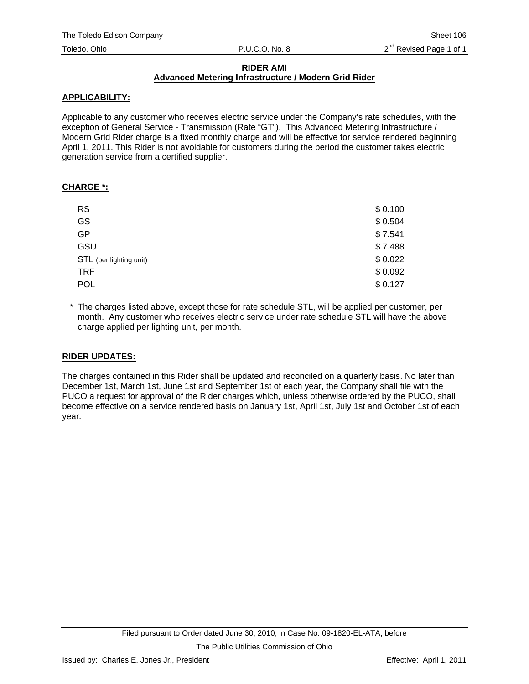#### **RIDER AMI Advanced Metering Infrastructure / Modern Grid Rider**

## **APPLICABILITY:**

Applicable to any customer who receives electric service under the Company's rate schedules, with the exception of General Service - Transmission (Rate "GT"). This Advanced Metering Infrastructure / Modern Grid Rider charge is a fixed monthly charge and will be effective for service rendered beginning April 1, 2011. This Rider is not avoidable for customers during the period the customer takes electric generation service from a certified supplier.

### **CHARGE \*:**

| <b>RS</b>               | \$0.100 |
|-------------------------|---------|
| <b>GS</b>               | \$0.504 |
| <b>GP</b>               | \$7.541 |
| GSU                     | \$7.488 |
| STL (per lighting unit) | \$0.022 |
| <b>TRF</b>              | \$0.092 |
| <b>POL</b>              | \$0.127 |

\* The charges listed above, except those for rate schedule STL, will be applied per customer, per month. Any customer who receives electric service under rate schedule STL will have the above charge applied per lighting unit, per month.

### **RIDER UPDATES:**

The charges contained in this Rider shall be updated and reconciled on a quarterly basis. No later than December 1st, March 1st, June 1st and September 1st of each year, the Company shall file with the PUCO a request for approval of the Rider charges which, unless otherwise ordered by the PUCO, shall become effective on a service rendered basis on January 1st, April 1st, July 1st and October 1st of each year.